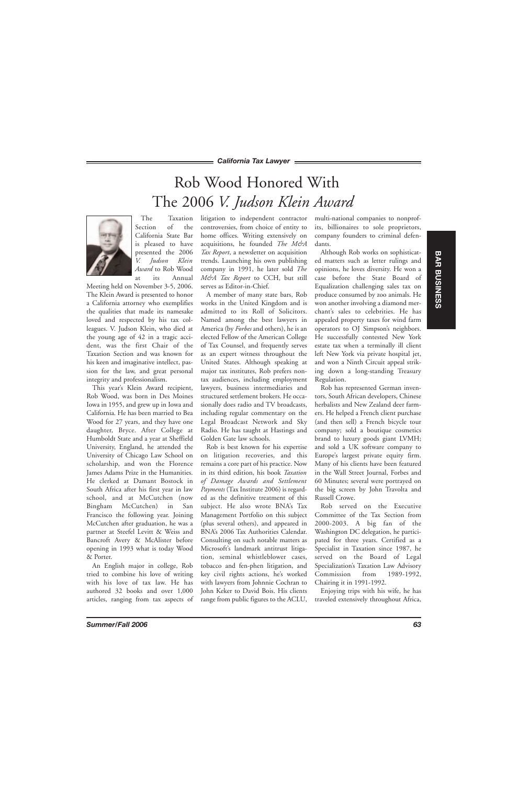## Rob Wood Honored With The 2006 *V. Judson Klein Award*



The Taxation Section of the California State Bar is pleased to have presented the 2006 *V. Judson Klein Award* to Rob Wood at its Annual

Meeting held on November 3-5, 2006. The Klein Award is presented to honor a California attorney who exemplifies the qualities that made its namesake loved and respected by his tax colleagues. V. Judson Klein, who died at the young age of 42 in a tragic accident, was the first Chair of the Taxation Section and was known for his keen and imaginative intellect, passion for the law, and great personal integrity and professionalism.

This year's Klein Award recipient, Rob Wood, was born in Des Moines Iowa in 1955, and grew up in Iowa and California. He has been married to Bea Wood for 27 years, and they have one daughter, Bryce. After College at Humboldt State and a year at Sheffield University, England, he attended the University of Chicago Law School on scholarship, and won the Florence James Adams Prize in the Humanities. He clerked at Damant Bostock in South Africa after his first year in law school, and at McCutchen (now Bingham McCutchen) in San Francisco the following year. Joining McCutchen after graduation, he was a partner at Steefel Levitt & Weiss and Bancroft Avery & McAlister before opening in 1993 what is today Wood & Porter.

An English major in college, Rob tried to combine his love of writing with his love of tax law. He has authored 32 books and over 1,000 articles, ranging from tax aspects of litigation to independent contractor controversies, from choice of entity to home offices. Writing extensively on acquisitions, he founded *The M&A Tax Report*, a newsletter on acquisition trends. Launching his own publishing company in 1991, he later sold *The M&A Tax Report* to CCH, but still serves as Editor-in-Chief.

A member of many state bars, Rob works in the United Kingdom and is admitted to its Roll of Solicitors. Named among the best lawyers in America (by *Forbes* and others), he is an elected Fellow of the American College of Tax Counsel, and frequently serves as an expert witness throughout the United States. Although speaking at major tax institutes, Rob prefers nontax audiences, including employment lawyers, business intermediaries and structured settlement brokers. He occasionally does radio and TV broadcasts, including regular commentary on the Legal Broadcast Network and Sky Radio. He has taught at Hastings and Golden Gate law schools.

Rob is best known for his expertise on litigation recoveries, and this remains a core part of his practice. Now in its third edition, his book *Taxation of Damage Awards and Settlement Payments* (Tax Institute 2006) is regarded as the definitive treatment of this subject. He also wrote BNA's Tax Management Portfolio on this subject (plus several others), and appeared in BNA's 2006 Tax Authorities Calendar. Consulting on such notable matters as Microsoft's landmark antitrust litigation, seminal whistleblower cases, tobacco and fen-phen litigation, and key civil rights actions, he's worked with lawyers from Johnnie Cochran to John Keker to David Bois. His clients range from public figures to the ACLU, multi-national companies to nonprofits, billionaires to sole proprietors, company founders to criminal defendants.

Although Rob works on sophisticated matters such as letter rulings and opinions, he loves diversity. He won a case before the State Board of Equalization challenging sales tax on produce consumed by zoo animals. He won another involving a diamond merchant's sales to celebrities. He has appealed property taxes for wind farm operators to OJ Simpson's neighbors. He successfully contested New York estate tax when a terminally ill client left New York via private hospital jet, and won a Ninth Circuit appeal striking down a long-standing Treasury Regulation.

Rob has represented German inventors, South African developers, Chinese herbalists and New Zealand deer farmers. He helped a French client purchase (and then sell) a French bicycle tour company; sold a boutique cosmetics brand to luxury goods giant LVMH; and sold a UK software company to Europe's largest private equity firm. Many of his clients have been featured in the Wall Street Journal, Forbes and 60 Minutes; several were portrayed on the big screen by John Travolta and Russell Crowe.

Rob served on the Executive Committee of the Tax Section from 2000-2003. A big fan of the Washington DC delegation, he participated for three years. Certified as a Specialist in Taxation since 1987, he served on the Board of Legal Specialization's Taxation Law Advisory Commission from 1989-1992, Chairing it in 1991-1992.

Enjoying trips with his wife, he has traveled extensively throughout Africa,